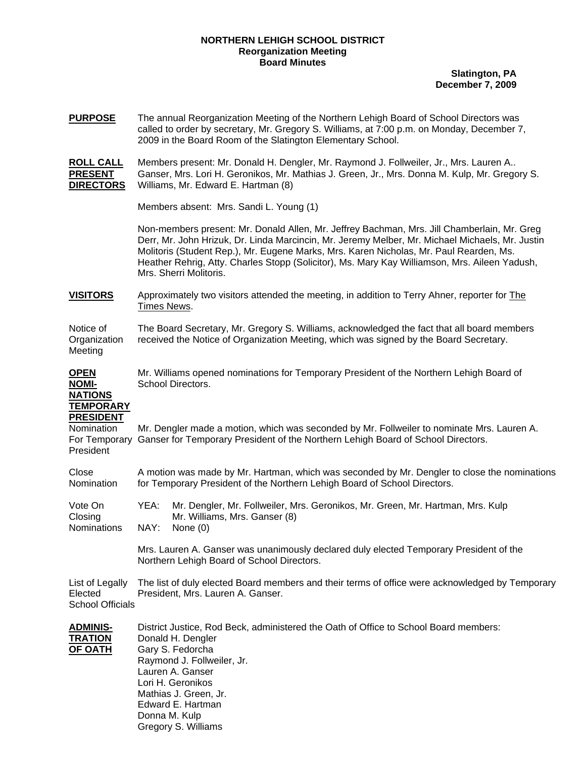## **NORTHERN LEHIGH SCHOOL DISTRICT Reorganization Meeting Board Minutes**

**Slatington, PA December 7, 2009**

**PURPOSE** The annual Reorganization Meeting of the Northern Lehigh Board of School Directors was called to order by secretary, Mr. Gregory S. Williams, at 7:00 p.m. on Monday, December 7, 2009 in the Board Room of the Slatington Elementary School.

**ROLL CALL** Members present: Mr. Donald H. Dengler, Mr. Raymond J. Follweiler, Jr., Mrs. Lauren A.. **PRESENT** Ganser, Mrs. Lori H. Geronikos, Mr. Mathias J. Green, Jr., Mrs. Donna M. Kulp, Mr. Gregory S. **DIRECTORS** Williams, Mr. Edward E. Hartman (8)

Members absent: Mrs. Sandi L. Young (1)

Non-members present: Mr. Donald Allen, Mr. Jeffrey Bachman, Mrs. Jill Chamberlain, Mr. Greg Derr, Mr. John Hrizuk, Dr. Linda Marcincin, Mr. Jeremy Melber, Mr. Michael Michaels, Mr. Justin Molitoris (Student Rep.), Mr. Eugene Marks, Mrs. Karen Nicholas, Mr. Paul Rearden, Ms. Heather Rehrig, Atty. Charles Stopp (Solicitor), Ms. Mary Kay Williamson, Mrs. Aileen Yadush, Mrs. Sherri Molitoris.

**VISITORS** Approximately two visitors attended the meeting, in addition to Terry Ahner, reporter for The Times News.

Notice of The Board Secretary, Mr. Gregory S. Williams, acknowledged the fact that all board members Organization received the Notice of Organization Meeting, which was signed by the Board Secretary. Meeting

| <b>OPEN</b><br><b>NOMI-</b><br><b>NATIONS</b><br><b>TEMPORARY</b> | Mr. Williams opened nominations for Temporary President of the Northern Lehigh Board of<br>School Directors.                                                                                                                                                                               |                                                                                                                               |  |  |
|-------------------------------------------------------------------|--------------------------------------------------------------------------------------------------------------------------------------------------------------------------------------------------------------------------------------------------------------------------------------------|-------------------------------------------------------------------------------------------------------------------------------|--|--|
| <b>PRESIDENT</b><br>Nomination<br>For Temporary<br>President      | Mr. Dengler made a motion, which was seconded by Mr. Follweiler to nominate Mrs. Lauren A.<br>Ganser for Temporary President of the Northern Lehigh Board of School Directors.                                                                                                             |                                                                                                                               |  |  |
| Close<br>Nomination                                               | A motion was made by Mr. Hartman, which was seconded by Mr. Dengler to close the nominations<br>for Temporary President of the Northern Lehigh Board of School Directors.                                                                                                                  |                                                                                                                               |  |  |
| Vote On<br>Closing<br><b>Nominations</b>                          | YEA:<br>NAY:                                                                                                                                                                                                                                                                               | Mr. Dengler, Mr. Follweiler, Mrs. Geronikos, Mr. Green, Mr. Hartman, Mrs. Kulp<br>Mr. Williams, Mrs. Ganser (8)<br>None $(0)$ |  |  |
|                                                                   | Mrs. Lauren A. Ganser was unanimously declared duly elected Temporary President of the<br>Northern Lehigh Board of School Directors.                                                                                                                                                       |                                                                                                                               |  |  |
| List of Legally<br>Elected<br><b>School Officials</b>             | The list of duly elected Board members and their terms of office were acknowledged by Temporary<br>President, Mrs. Lauren A. Ganser.                                                                                                                                                       |                                                                                                                               |  |  |
| <b>ADMINIS-</b><br><b>TRATION</b><br><b>OF OATH</b>               | District Justice, Rod Beck, administered the Oath of Office to School Board members:<br>Donald H. Dengler<br>Gary S. Fedorcha<br>Raymond J. Follweiler, Jr.<br>Lauren A. Ganser<br>Lori H. Geronikos<br>Mathias J. Green, Jr.<br>Edward E. Hartman<br>Donna M. Kulp<br>Gregory S. Williams |                                                                                                                               |  |  |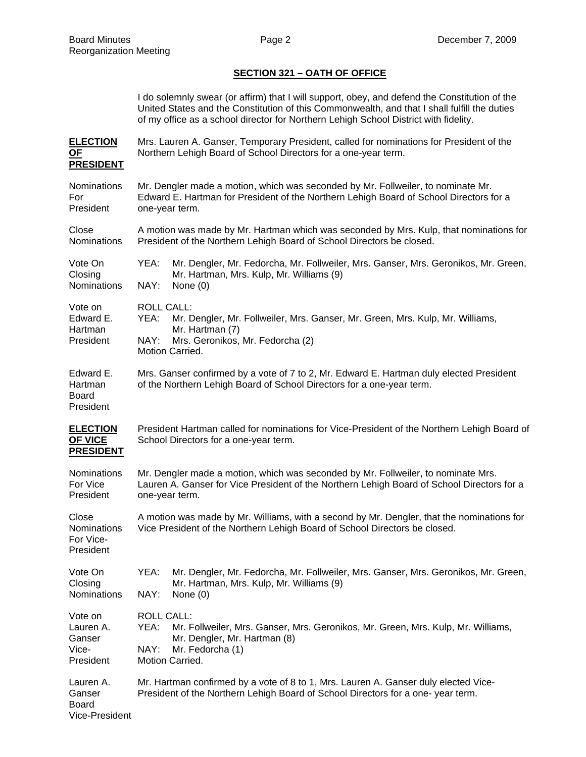## **SECTION 321 – OATH OF OFFICE**

I do solemnly swear (or affirm) that I will support, obey, and defend the Constitution of the United States and the Constitution of this Commonwealth, and that I shall fulfill the duties of my office as a school director for Northern Lehigh School District with fidelity.

- **ELECTION** Mrs. Lauren A. Ganser, Temporary President, called for nominations for President of the **OF** Northern Lehigh Board of School Directors for a one-year term. **PRESIDENT**
- Nominations Mr. Dengler made a motion, which was seconded by Mr. Follweiler, to nominate Mr. For Edward E. Hartman for President of the Northern Lehigh Board of School Directors for a President one-year term.

Close **A** motion was made by Mr. Hartman which was seconded by Mrs. Kulp, that nominations for Nominations President of the Northern Lehigh Board of School Directors be closed.

Vote On YEA: Mr. Dengler, Mr. Fedorcha, Mr. Follweiler, Mrs. Ganser, Mrs. Geronikos, Mr. Green, Closing Mr. Hartman, Mrs. Kulp, Mr. Williams (9) Nominations NAY: None (0)

Vote on ROLL CALL:

- Edward E. YEA: Mr. Dengler, Mr. Follweiler, Mrs. Ganser, Mr. Green, Mrs. Kulp, Mr. Williams, Hartman Mr. Hartman (7) President NAY: Mrs. Geronikos, Mr. Fedorcha (2)
	- Motion Carried.
- Edward E. Mrs. Ganser confirmed by a vote of 7 to 2, Mr. Edward E. Hartman duly elected President Hartman of the Northern Lehigh Board of School Directors for a one-year term.
- Board President

President

- **ELECTION** President Hartman called for nominations for Vice-President of the Northern Lehigh Board of **OF VICE** School Directors for a one-year term. **PRESIDENT**
- Nominations Mr. Dengler made a motion, which was seconded by Mr. Follweiler, to nominate Mrs. For Vice Lauren A. Ganser for Vice President of the Northern Lehigh Board of School Directors for a President one-year term.

Close A motion was made by Mr. Williams, with a second by Mr. Dengler, that the nominations for Nominations Vice President of the Northern Lehigh Board of School Directors be closed. For Vice-

| Vote On     | YEA:       | Mr. Dengler, Mr. Fedorcha, Mr. Follweiler, Mrs. Ganser, Mrs. Geronikos, Mr. Green, |  |
|-------------|------------|------------------------------------------------------------------------------------|--|
| Closing     |            | Mr. Hartman, Mrs. Kulp, Mr. Williams (9)                                           |  |
| Nominations | NAY:       | None (0)                                                                           |  |
| Vote on     | ROLL CALL: |                                                                                    |  |
| Lauren A.   | YEA:       | Mr. Follweiler, Mrs. Ganser, Mrs. Geronikos, Mr. Green, Mrs. Kulp, Mr. Williams,   |  |
| Ganser      |            | Mr. Dengler, Mr. Hartman (8)                                                       |  |

President Motion Carried. Lauren A. Mr. Hartman confirmed by a vote of 8 to 1, Mrs. Lauren A. Ganser duly elected Vice-Ganser President of the Northern Lehigh Board of School Directors for a one- year term. Board

```
Vice-President
```
Vice- NAY: Mr. Fedorcha (1)